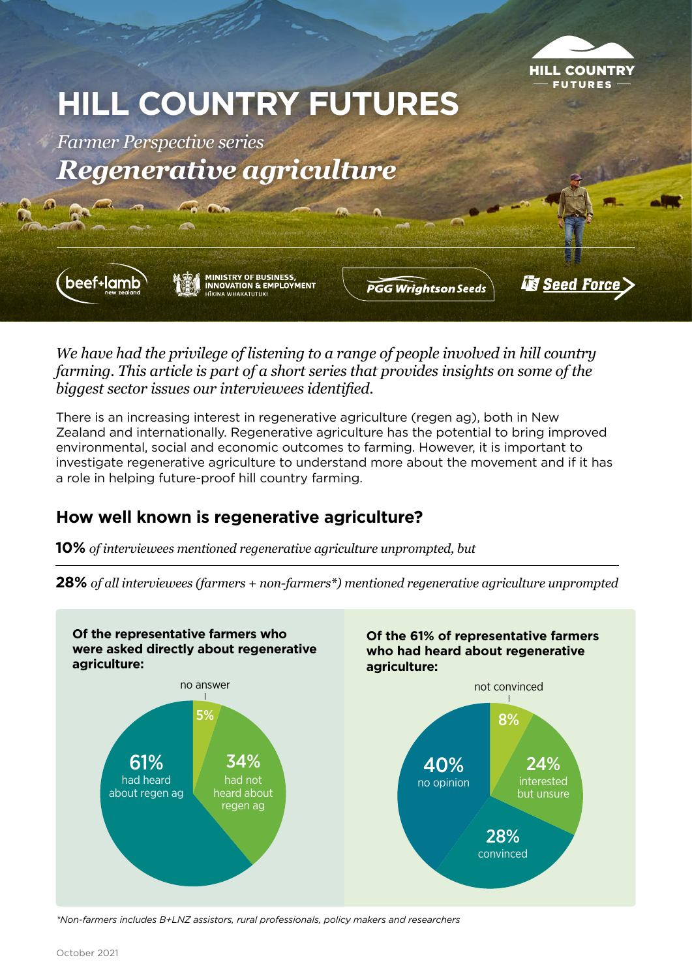

# **HILL COUNTRY FUTURES**

*Farmer Perspective series Regenerative agriculture*

beef+lam

**MINISTRY OF BUSINESS,<br>INNOVATION & EMPLOYMENT** 

**PGG Wrightson Seeds** 

**Seed Force** 

*We have had the privilege of listening to a range of people involved in hill country farming. This article is part of a short series that provides insights on some of the biggest sector issues our interviewees identified.* 

There is an increasing interest in regenerative agriculture (regen ag), both in New Zealand and internationally. Regenerative agriculture has the potential to bring improved environmental, social and economic outcomes to farming. However, it is important to investigate regenerative agriculture to understand more about the movement and if it has a role in helping future-proof hill country farming.

## **How well known is regenerative agriculture?**

**10%** *of interviewees mentioned regenerative agriculture unprompted, but*

**28%** *of all interviewees (farmers + non-farmers\*) mentioned regenerative agriculture unprompted*



*\*Non-farmers includes B+LNZ assistors, rural professionals, policy makers and researchers*